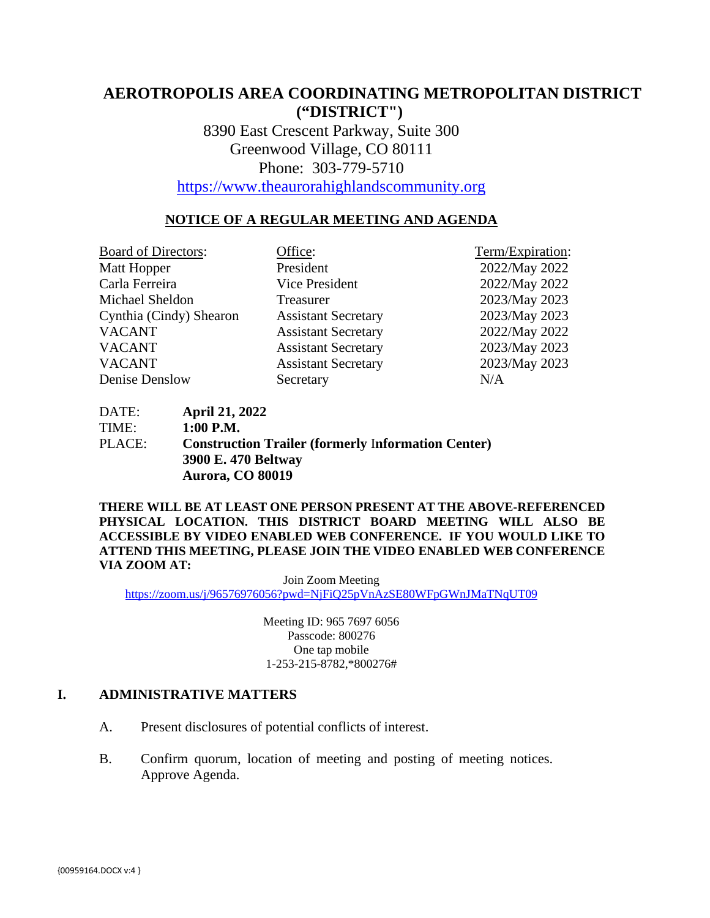# **AEROTROPOLIS AREA COORDINATING METROPOLITAN DISTRICT ("DISTRICT")**

8390 East Crescent Parkway, Suite 300 Greenwood Village, CO 80111 Phone: 303-779-5710

[https://www.theaurorahighlandscommunity.org](https://www.theaurorahighlandscommunity.org/)

## **NOTICE OF A REGULAR MEETING AND AGENDA**

| <b>Board of Directors:</b> | Office:                    | Term/Expiration: |
|----------------------------|----------------------------|------------------|
| Matt Hopper                | President                  | 2022/May 2022    |
| Carla Ferreira             | Vice President             | 2022/May 2022    |
| Michael Sheldon            | Treasurer                  | 2023/May 2023    |
| Cynthia (Cindy) Shearon    | <b>Assistant Secretary</b> | 2023/May 2023    |
| <b>VACANT</b>              | <b>Assistant Secretary</b> | 2022/May 2022    |
| <b>VACANT</b>              | <b>Assistant Secretary</b> | 2023/May 2023    |
| <b>VACANT</b>              | <b>Assistant Secretary</b> | 2023/May 2023    |
| Denise Denslow             | Secretary                  | N/A              |
|                            |                            |                  |

DATE: **April 21, 2022** TIME: **1:00 P.M.** PLACE: **Construction Trailer (formerly** I**nformation Center) 3900 E. 470 Beltway Aurora, CO 80019** 

**THERE WILL BE AT LEAST ONE PERSON PRESENT AT THE ABOVE-REFERENCED PHYSICAL LOCATION. THIS DISTRICT BOARD MEETING WILL ALSO BE ACCESSIBLE BY VIDEO ENABLED WEB CONFERENCE. IF YOU WOULD LIKE TO ATTEND THIS MEETING, PLEASE JOIN THE VIDEO ENABLED WEB CONFERENCE VIA ZOOM AT:**

Join Zoom Meeting <https://zoom.us/j/96576976056?pwd=NjFiQ25pVnAzSE80WFpGWnJMaTNqUT09>

> Meeting ID: 965 7697 6056 Passcode: 800276 One tap mobile 1-253-215-8782,\*800276#

## **I. ADMINISTRATIVE MATTERS**

- A. Present disclosures of potential conflicts of interest.
- B. Confirm quorum, location of meeting and posting of meeting notices. Approve Agenda.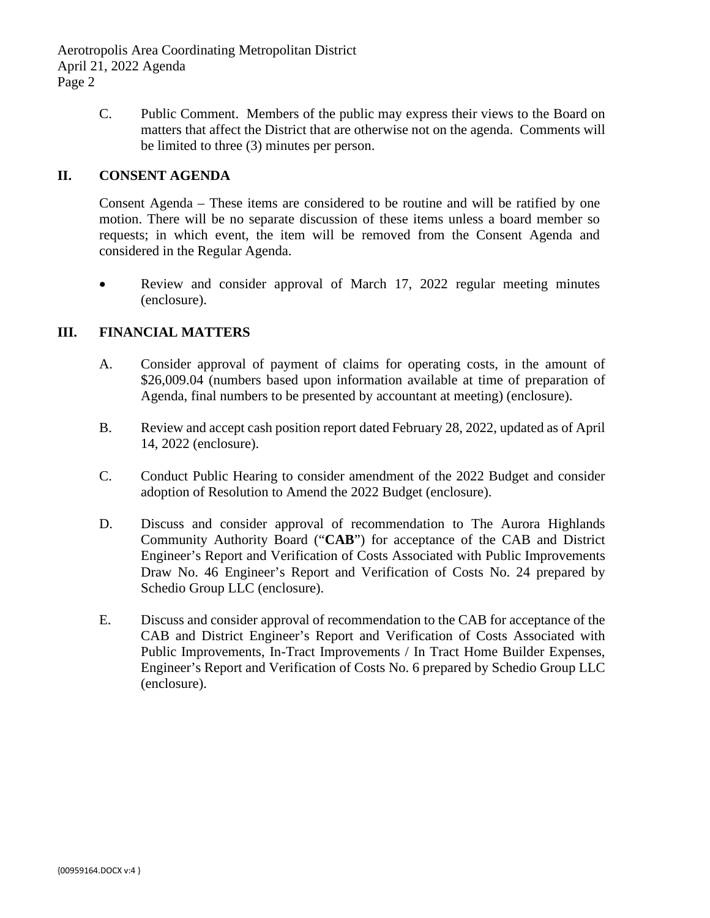Aerotropolis Area Coordinating Metropolitan District April 21, 2022 Agenda Page 2

> C. Public Comment. Members of the public may express their views to the Board on matters that affect the District that are otherwise not on the agenda. Comments will be limited to three (3) minutes per person.

## **II. CONSENT AGENDA**

Consent Agenda – These items are considered to be routine and will be ratified by one motion. There will be no separate discussion of these items unless a board member so requests; in which event, the item will be removed from the Consent Agenda and considered in the Regular Agenda.

• Review and consider approval of March 17, 2022 regular meeting minutes (enclosure).

## **III. FINANCIAL MATTERS**

- A. Consider approval of payment of claims for operating costs, in the amount of \$26,009.04 (numbers based upon information available at time of preparation of Agenda, final numbers to be presented by accountant at meeting) (enclosure).
- B. Review and accept cash position report dated February 28, 2022, updated as of April 14, 2022 (enclosure).
- C. Conduct Public Hearing to consider amendment of the 2022 Budget and consider adoption of Resolution to Amend the 2022 Budget (enclosure).
- D. Discuss and consider approval of recommendation to The Aurora Highlands Community Authority Board ("**CAB**") for acceptance of the CAB and District Engineer's Report and Verification of Costs Associated with Public Improvements Draw No. 46 Engineer's Report and Verification of Costs No. 24 prepared by Schedio Group LLC (enclosure).
- E. Discuss and consider approval of recommendation to the CAB for acceptance of the CAB and District Engineer's Report and Verification of Costs Associated with Public Improvements, In-Tract Improvements / In Tract Home Builder Expenses, Engineer's Report and Verification of Costs No. 6 prepared by Schedio Group LLC (enclosure).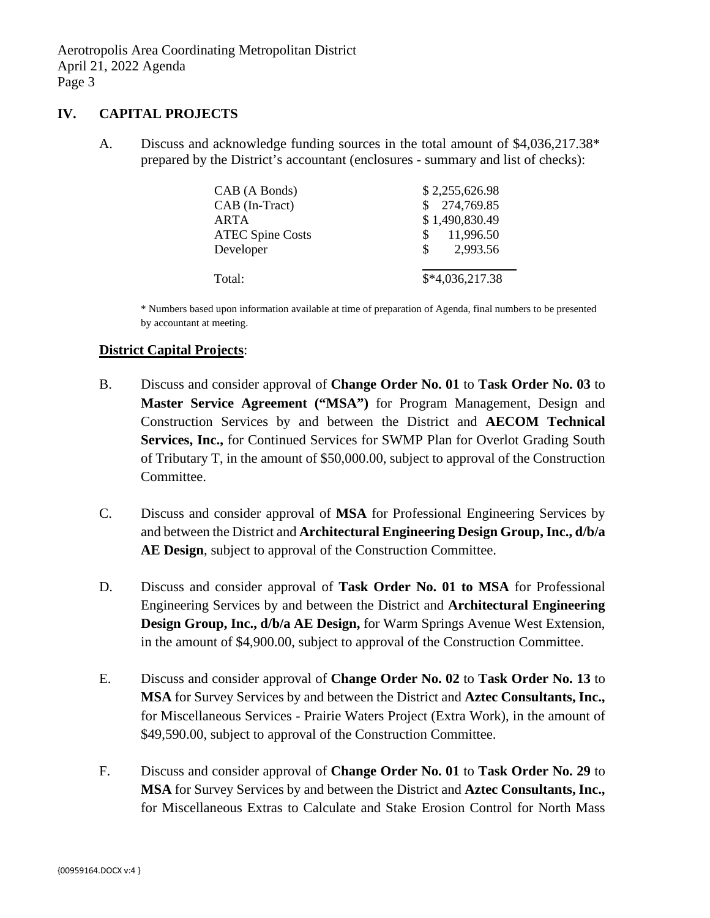## **IV. CAPITAL PROJECTS**

A. Discuss and acknowledge funding sources in the total amount of \$4,036,217.38\* prepared by the District's accountant (enclosures - summary and list of checks):

| CAB (A Bonds)           | \$2,255,626.98   |
|-------------------------|------------------|
| CAB (In-Tract)          | 274,769.85       |
| ARTA                    | \$1,490,830.49   |
| <b>ATEC Spine Costs</b> | 11,996.50<br>S   |
| Developer               | 2,993.56<br>SS.  |
|                         |                  |
| Total:                  | $$*4,036,217.38$ |

\* Numbers based upon information available at time of preparation of Agenda, final numbers to be presented by accountant at meeting.

## **District Capital Projects**:

- B. Discuss and consider approval of **Change Order No. 01** to **Task Order No. 03** to **Master Service Agreement ("MSA")** for Program Management, Design and Construction Services by and between the District and **AECOM Technical Services, Inc.,** for Continued Services for SWMP Plan for Overlot Grading South of Tributary T, in the amount of \$50,000.00, subject to approval of the Construction Committee.
- C. Discuss and consider approval of **MSA** for Professional Engineering Services by and between the District and **Architectural Engineering Design Group, Inc., d/b/a AE Design**, subject to approval of the Construction Committee.
- D. Discuss and consider approval of **Task Order No. 01 to MSA** for Professional Engineering Services by and between the District and **Architectural Engineering Design Group, Inc., d/b/a AE Design,** for Warm Springs Avenue West Extension, in the amount of \$4,900.00, subject to approval of the Construction Committee.
- E. Discuss and consider approval of **Change Order No. 02** to **Task Order No. 13** to **MSA** for Survey Services by and between the District and **Aztec Consultants, Inc.,** for Miscellaneous Services - Prairie Waters Project (Extra Work), in the amount of \$49,590.00, subject to approval of the Construction Committee.
- F. Discuss and consider approval of **Change Order No. 01** to **Task Order No. 29** to **MSA** for Survey Services by and between the District and **Aztec Consultants, Inc.,** for Miscellaneous Extras to Calculate and Stake Erosion Control for North Mass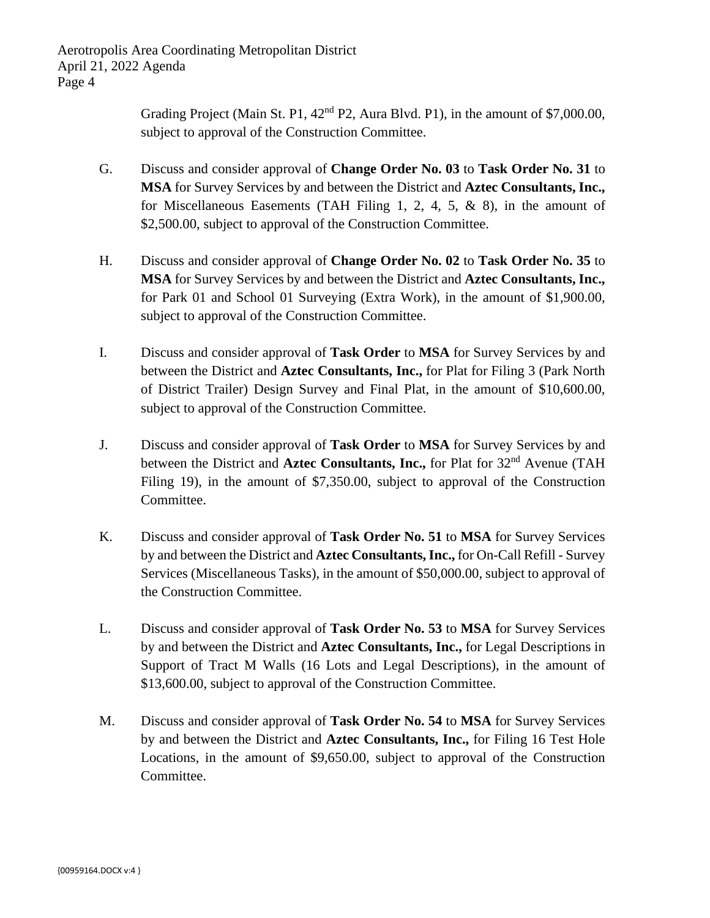Aerotropolis Area Coordinating Metropolitan District April 21, 2022 Agenda Page 4

> Grading Project (Main St. P1,  $42<sup>nd</sup>$  P2, Aura Blvd. P1), in the amount of \$7,000.00, subject to approval of the Construction Committee.

- G. Discuss and consider approval of **Change Order No. 03** to **Task Order No. 31** to **MSA** for Survey Services by and between the District and **Aztec Consultants, Inc.,** for Miscellaneous Easements (TAH Filing 1, 2, 4, 5, & 8), in the amount of \$2,500.00, subject to approval of the Construction Committee.
- H. Discuss and consider approval of **Change Order No. 02** to **Task Order No. 35** to **MSA** for Survey Services by and between the District and **Aztec Consultants, Inc.,** for Park 01 and School 01 Surveying (Extra Work), in the amount of \$1,900.00, subject to approval of the Construction Committee.
- I. Discuss and consider approval of **Task Order** to **MSA** for Survey Services by and between the District and **Aztec Consultants, Inc.,** for Plat for Filing 3 (Park North of District Trailer) Design Survey and Final Plat, in the amount of \$10,600.00, subject to approval of the Construction Committee.
- J. Discuss and consider approval of **Task Order** to **MSA** for Survey Services by and between the District and **Aztec Consultants, Inc.,** for Plat for 32<sup>nd</sup> Avenue (TAH Filing 19), in the amount of \$7,350.00, subject to approval of the Construction Committee.
- K. Discuss and consider approval of **Task Order No. 51** to **MSA** for Survey Services by and between the District and **Aztec Consultants, Inc.,** for On-Call Refill - Survey Services (Miscellaneous Tasks), in the amount of \$50,000.00, subject to approval of the Construction Committee.
- L. Discuss and consider approval of **Task Order No. 53** to **MSA** for Survey Services by and between the District and **Aztec Consultants, Inc.,** for Legal Descriptions in Support of Tract M Walls (16 Lots and Legal Descriptions), in the amount of \$13,600.00, subject to approval of the Construction Committee.
- M. Discuss and consider approval of **Task Order No. 54** to **MSA** for Survey Services by and between the District and **Aztec Consultants, Inc.,** for Filing 16 Test Hole Locations, in the amount of \$9,650.00, subject to approval of the Construction Committee.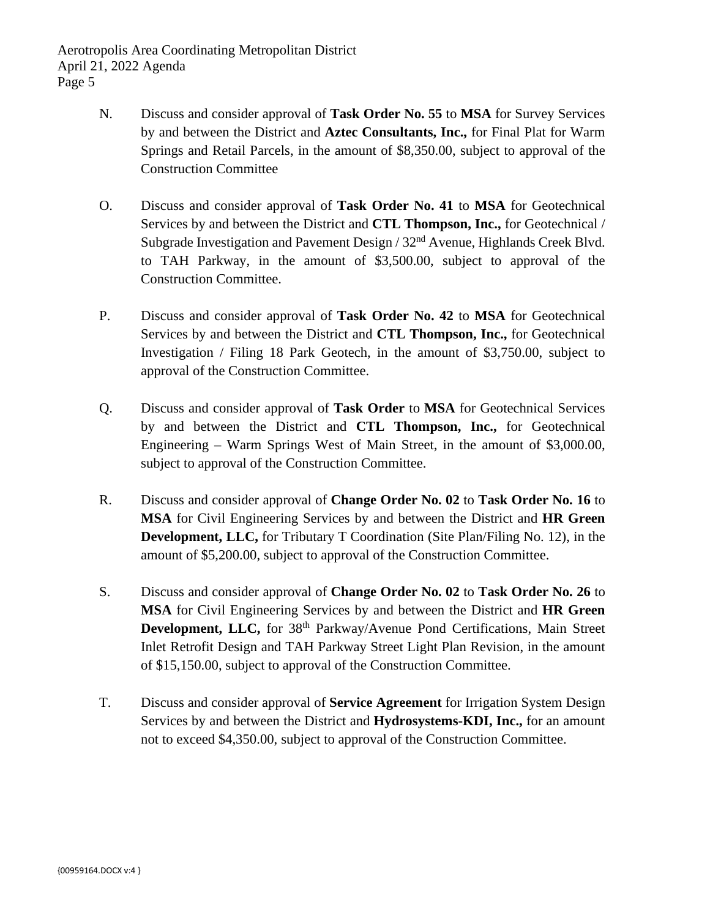- N. Discuss and consider approval of **Task Order No. 55** to **MSA** for Survey Services by and between the District and **Aztec Consultants, Inc.,** for Final Plat for Warm Springs and Retail Parcels, in the amount of \$8,350.00, subject to approval of the Construction Committee
- O. Discuss and consider approval of **Task Order No. 41** to **MSA** for Geotechnical Services by and between the District and **CTL Thompson, Inc.,** for Geotechnical / Subgrade Investigation and Pavement Design / 32nd Avenue, Highlands Creek Blvd. to TAH Parkway, in the amount of \$3,500.00, subject to approval of the Construction Committee.
- P. Discuss and consider approval of **Task Order No. 42** to **MSA** for Geotechnical Services by and between the District and **CTL Thompson, Inc.,** for Geotechnical Investigation / Filing 18 Park Geotech, in the amount of \$3,750.00, subject to approval of the Construction Committee.
- Q. Discuss and consider approval of **Task Order** to **MSA** for Geotechnical Services by and between the District and **CTL Thompson, Inc.,** for Geotechnical Engineering – Warm Springs West of Main Street, in the amount of \$3,000.00, subject to approval of the Construction Committee.
- R. Discuss and consider approval of **Change Order No. 02** to **Task Order No. 16** to **MSA** for Civil Engineering Services by and between the District and **HR Green Development, LLC,** for Tributary T Coordination (Site Plan/Filing No. 12), in the amount of \$5,200.00, subject to approval of the Construction Committee.
- S. Discuss and consider approval of **Change Order No. 02** to **Task Order No. 26** to **MSA** for Civil Engineering Services by and between the District and **HR Green Development, LLC,** for 38<sup>th</sup> Parkway/Avenue Pond Certifications, Main Street Inlet Retrofit Design and TAH Parkway Street Light Plan Revision, in the amount of \$15,150.00, subject to approval of the Construction Committee.
- T. Discuss and consider approval of **Service Agreement** for Irrigation System Design Services by and between the District and **Hydrosystems-KDI, Inc.,** for an amount not to exceed \$4,350.00, subject to approval of the Construction Committee.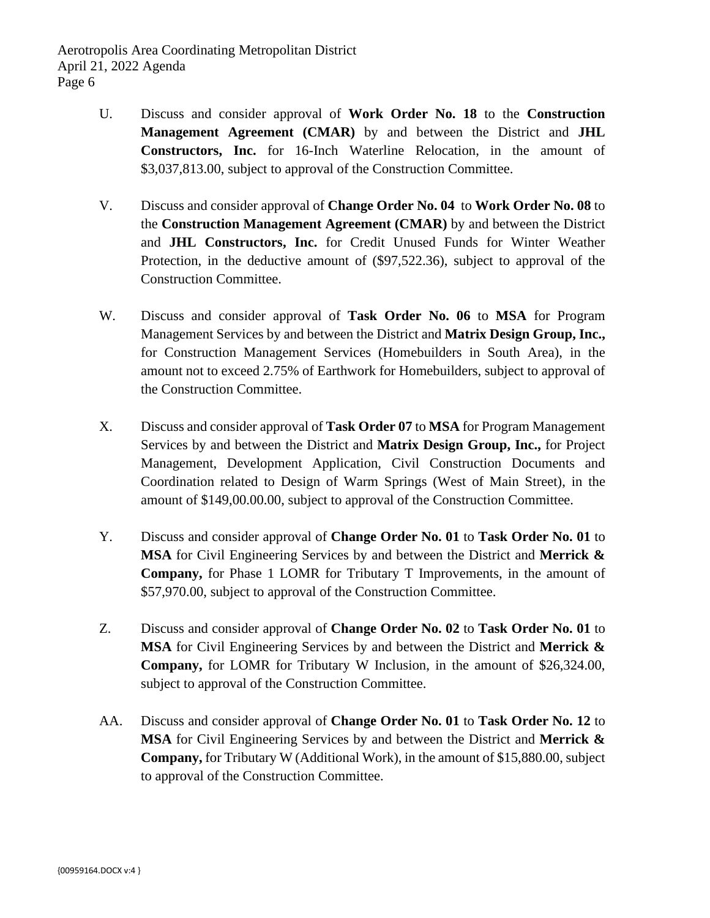- U. Discuss and consider approval of **Work Order No. 18** to the **Construction Management Agreement (CMAR)** by and between the District and **JHL Constructors, Inc.** for 16-Inch Waterline Relocation, in the amount of \$3,037,813.00, subject to approval of the Construction Committee.
- V. Discuss and consider approval of **Change Order No. 04** to **Work Order No. 08** to the **Construction Management Agreement (CMAR)** by and between the District and **JHL Constructors, Inc.** for Credit Unused Funds for Winter Weather Protection, in the deductive amount of (\$97,522.36), subject to approval of the Construction Committee.
- W. Discuss and consider approval of **Task Order No. 06** to **MSA** for Program Management Services by and between the District and **Matrix Design Group, Inc.,** for Construction Management Services (Homebuilders in South Area), in the amount not to exceed 2.75% of Earthwork for Homebuilders, subject to approval of the Construction Committee.
- X. Discuss and consider approval of **Task Order 07** to **MSA** for Program Management Services by and between the District and **Matrix Design Group, Inc.,** for Project Management, Development Application, Civil Construction Documents and Coordination related to Design of Warm Springs (West of Main Street), in the amount of \$149,00.00.00, subject to approval of the Construction Committee.
- Y. Discuss and consider approval of **Change Order No. 01** to **Task Order No. 01** to **MSA** for Civil Engineering Services by and between the District and **Merrick & Company,** for Phase 1 LOMR for Tributary T Improvements, in the amount of \$57,970.00, subject to approval of the Construction Committee.
- Z. Discuss and consider approval of **Change Order No. 02** to **Task Order No. 01** to **MSA** for Civil Engineering Services by and between the District and **Merrick & Company,** for LOMR for Tributary W Inclusion, in the amount of \$26,324.00, subject to approval of the Construction Committee.
- AA. Discuss and consider approval of **Change Order No. 01** to **Task Order No. 12** to **MSA** for Civil Engineering Services by and between the District and **Merrick & Company,** for Tributary W (Additional Work), in the amount of \$15,880.00, subject to approval of the Construction Committee.